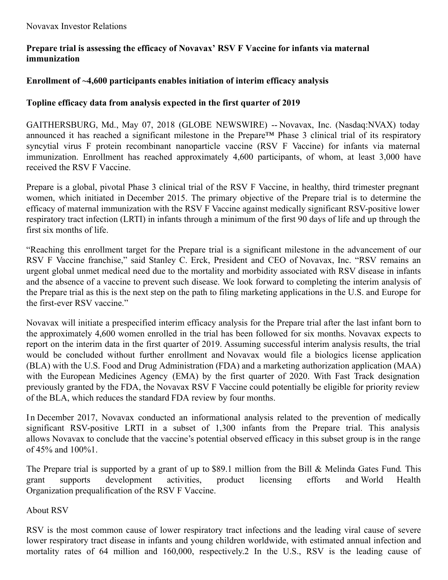# **Prepare trial is assessing the efficacy of Novavax' RSV F Vaccine for infants via maternal immunization**

## **Enrollment of ~4,600 participants enables initiation of interim efficacy analysis**

### **Topline efficacy data from analysis expected in the first quarter of 2019**

GAITHERSBURG, Md., May 07, 2018 (GLOBE NEWSWIRE) -- Novavax, Inc. (Nasdaq:NVAX) today announced it has reached a significant milestone in the Prepare™ Phase 3 clinical trial of its respiratory syncytial virus F protein recombinant nanoparticle vaccine (RSV F Vaccine) for infants via maternal immunization. Enrollment has reached approximately 4,600 participants, of whom, at least 3,000 have received the RSV F Vaccine.

Prepare is a global, pivotal Phase 3 clinical trial of the RSV F Vaccine, in healthy, third trimester pregnant women, which initiated in December 2015. The primary objective of the Prepare trial is to determine the efficacy of maternal immunization with the RSV F Vaccine against medically significant RSV-positive lower respiratory tract infection (LRTI) in infants through a minimum of the first 90 days of life and up through the first six months of life.

"Reaching this enrollment target for the Prepare trial is a significant milestone in the advancement of our RSV F Vaccine franchise," said Stanley C. Erck, President and CEO of Novavax, Inc. "RSV remains an urgent global unmet medical need due to the mortality and morbidity associated with RSV disease in infants and the absence of a vaccine to prevent such disease. We look forward to completing the interim analysis of the Prepare trial as this is the next step on the path to filing marketing applications in the U.S. and Europe for the first-ever RSV vaccine."

Novavax will initiate a prespecified interim efficacy analysis for the Prepare trial after the last infant born to the approximately 4,600 women enrolled in the trial has been followed for six months. Novavax expects to report on the interim data in the first quarter of 2019. Assuming successful interim analysis results, the trial would be concluded without further enrollment and Novavax would file a biologics license application (BLA) with the U.S. Food and Drug Administration (FDA) and a marketing authorization application (MAA) with the European Medicines Agency (EMA) by the first quarter of 2020. With Fast Track designation previously granted by the FDA, the Novavax RSV F Vaccine could potentially be eligible for priority review of the BLA, which reduces the standard FDA review by four months.

In December 2017, Novavax conducted an informational analysis related to the prevention of medically significant RSV-positive LRTI in a subset of 1,300 infants from the Prepare trial. This analysis allows Novavax to conclude that the vaccine's potential observed efficacy in this subset group is in the range of 45% and 100%1.

The Prepare trial is supported by a grant of up to \$89.1 million from the Bill & Melinda Gates Fund. This grant supports development activities, product licensing efforts and World Health Organization prequalification of the RSV F Vaccine.

About RSV

RSV is the most common cause of lower respiratory tract infections and the leading viral cause of severe lower respiratory tract disease in infants and young children worldwide, with estimated annual infection and mortality rates of 64 million and 160,000, respectively.2 In the U.S., RSV is the leading cause of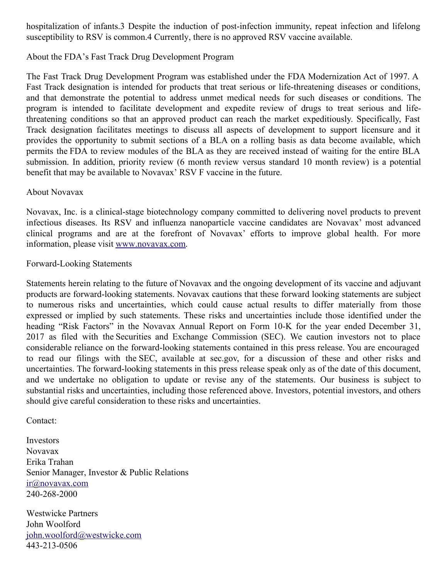hospitalization of infants.3 Despite the induction of post-infection immunity, repeat infection and lifelong susceptibility to RSV is common.4 Currently, there is no approved RSV vaccine available.

### About the FDA's Fast Track Drug Development Program

The Fast Track Drug Development Program was established under the FDA Modernization Act of 1997. A Fast Track designation is intended for products that treat serious or life-threatening diseases or conditions, and that demonstrate the potential to address unmet medical needs for such diseases or conditions. The program is intended to facilitate development and expedite review of drugs to treat serious and lifethreatening conditions so that an approved product can reach the market expeditiously. Specifically, Fast Track designation facilitates meetings to discuss all aspects of development to support licensure and it provides the opportunity to submit sections of a BLA on a rolling basis as data become available, which permits the FDA to review modules of the BLA as they are received instead of waiting for the entire BLA submission. In addition, priority review (6 month review versus standard 10 month review) is a potential benefit that may be available to Novavax' RSV F vaccine in the future.

#### About Novavax

Novavax, Inc. is a clinical-stage biotechnology company committed to delivering novel products to prevent infectious diseases. Its RSV and influenza nanoparticle vaccine candidates are Novavax' most advanced clinical programs and are at the forefront of Novavax' efforts to improve global health. For more information, please visit [www.novavax.com](https://www.globenewswire.com/Tracker?data=y8U5UEhNmxamrKu3W6d1RyVpRwrbHMOs4Iac6azZAzZA-7r8AmwxTkU1eoXotzgN5tEm0jH192ZtlwdxgBDhzw==).

#### Forward-Looking Statements

Statements herein relating to the future of Novavax and the ongoing development of its vaccine and adjuvant products are forward-looking statements. Novavax cautions that these forward looking statements are subject to numerous risks and uncertainties, which could cause actual results to differ materially from those expressed or implied by such statements. These risks and uncertainties include those identified under the heading "Risk Factors" in the Novavax Annual Report on Form 10-K for the year ended December 31, 2017 as filed with the Securities and Exchange Commission (SEC). We caution investors not to place considerable reliance on the forward-looking statements contained in this press release. You are encouraged to read our filings with the SEC, available at sec.gov, for a discussion of these and other risks and uncertainties. The forward-looking statements in this press release speak only as of the date of this document, and we undertake no obligation to update or revise any of the statements. Our business is subject to substantial risks and uncertainties, including those referenced above. Investors, potential investors, and others should give careful consideration to these risks and uncertainties.

#### Contact:

Investors Novavax Erika Trahan Senior Manager, Investor & Public Relations [ir@novavax.com](https://www.globenewswire.com/Tracker?data=s9aVhpsqWAPEdLTm6J5Q1TpziXtNCIDwY91L91aObfnAjQLaREU0551KUZQKMl_nnuezMrQ21-k8FeF627hYYg==) 240-268-2000

Westwicke Partners John Woolford [john.woolford@westwicke.com](https://www.globenewswire.com/Tracker?data=7tFbj_mkf28Ow3y8aDtM4O3w9hr5uDyFyYwDmIEGwSz0lkgDzFMlDAR_QTYYr-CibigXBK2tbqnq66mbxrDgdGnYiRYkpTTAi5_SUx8iaj_qwJ4VQPePu3Z8Suxcatqo) 443-213-0506